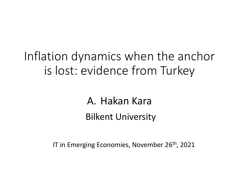# Inflation dynamics when the anchor is lost: evidence from Turkey

A. Hakan Kara Bilkent University

IT in Emerging Economies, November 26<sup>th</sup>, 2021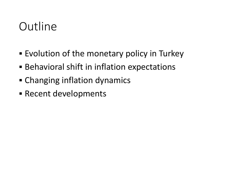# Outline

- Evolution of the monetary policy in Turkey
- **EXPEDENTIFY Behavioral shift in inflation expectations**
- Changing inflation dynamics
- Recent developments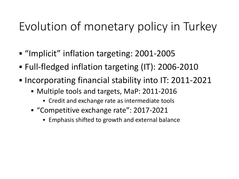# Evolution of monetary policy in Turkey

- "Implicit" inflation targeting: 2001-2005
- Full-fledged inflation targeting (IT): 2006-2010
- Incorporating financial stability into IT: 2011-2021
	- Multiple tools and targets, MaP: 2011-2016
		- Credit and exchange rate as intermediate tools
	- "Competitive exchange rate": 2017-2021
		- Emphasis shifted to growth and external balance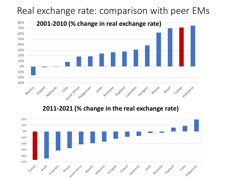## Real exchange rate: comparison with peer EMs



2011-2021 (% change in the real exchange rate)

![](_page_3_Figure_3.jpeg)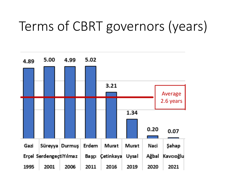# Terms of CBRT governors (years)

![](_page_4_Figure_1.jpeg)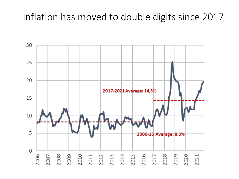## Inflation has moved to double digits since 2017

![](_page_5_Figure_1.jpeg)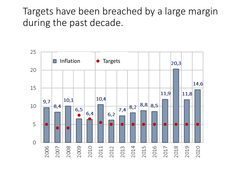## Targets have been breached by a large margin during the past decade.

![](_page_6_Figure_1.jpeg)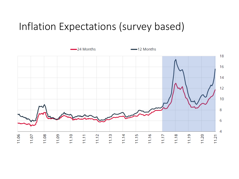## Inflation Expectations (survey based)

![](_page_7_Figure_1.jpeg)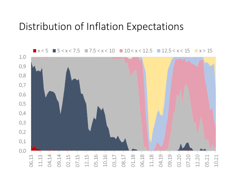## Distribution of Inflation Expectations

![](_page_8_Figure_1.jpeg)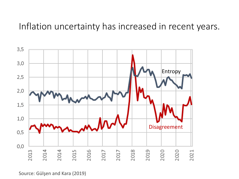#### Inflation uncertainty has increased in recent years.

![](_page_9_Figure_1.jpeg)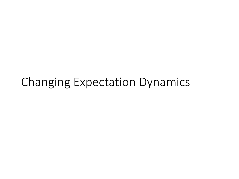# Changing Expectation Dynamics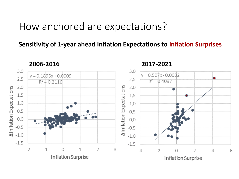#### How anchored are expectations?

**Sensitivity of 1-year ahead Inflation Expectations to Inflation Surprises**

![](_page_11_Figure_2.jpeg)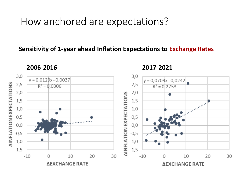## How anchored are expectations?

#### **Sensitivity of 1-year ahead Inflation Expectations to Exchange Rates**

**2006-2016 2017-2021**

![](_page_12_Figure_4.jpeg)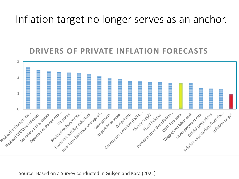## Inflation target no longer serves as an anchor.

#### **DRIVERS OF PRIVATE INFLATION FORECASTS**

![](_page_13_Figure_2.jpeg)

Source: Based on a Survey conducted in Gülşen and Kara (2021)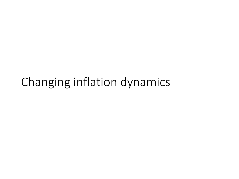# Changing inflation dynamics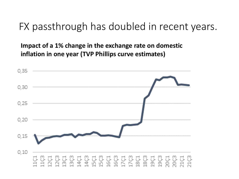## FX passthrough has doubled in recent years.

**Impact of a 1% change in the exchange rate on domestic inflation in one year (TVP Phillips curve estimates)**

![](_page_15_Figure_2.jpeg)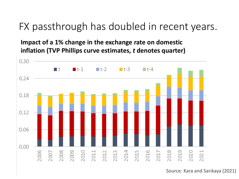## FX passthrough has doubled in recent years.

**Impact of a 1% change in the exchange rate on domestic inflation (TVP Phillips curve estimates,** *t* **denotes quarter)**

![](_page_16_Figure_2.jpeg)

Source: Kara and Sarıkaya (2021)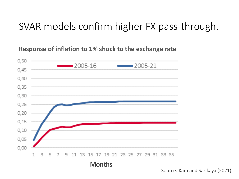## SVAR models confirm higher FX pass-through.

**Response of inflation to 1% shock to the exchange rate** 

![](_page_17_Figure_2.jpeg)

Source: Kara and Sarıkaya (2021)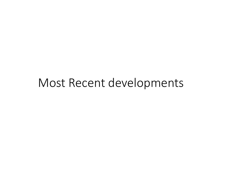# Most Recent developments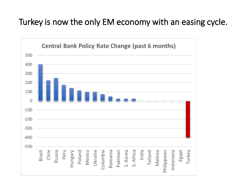#### Turkey is now the only EM economy with an easing cycle.

![](_page_19_Figure_1.jpeg)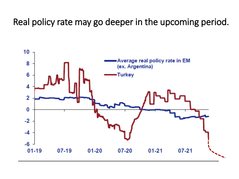Real policy rate may go deeper in the upcoming period.

![](_page_20_Figure_1.jpeg)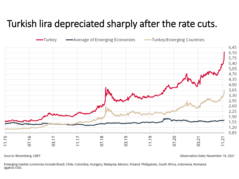## Turkish lira depreciated sharply after the rate cuts.

![](_page_21_Figure_1.jpeg)

Source: Bloomberg, CBRT

Observation Date: November 18, 2021

Emerging market currencies include Brazil, Chile, Colombia, Hungary, Malaysia, Mexico, Poland, Philippines, South Africa, Indonesia, Romania against USD.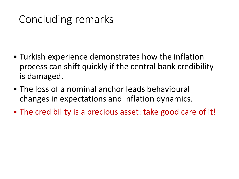# Concluding remarks

- Turkish experience demonstrates how the inflation process can shift quickly if the central bank credibility is damaged.
- **The loss of a nominal anchor leads behavioural** changes in expectations and inflation dynamics.
- The credibility is a precious asset: take good care of it!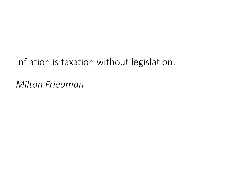## Inflation is taxation without legislation.

*Milton Friedman*